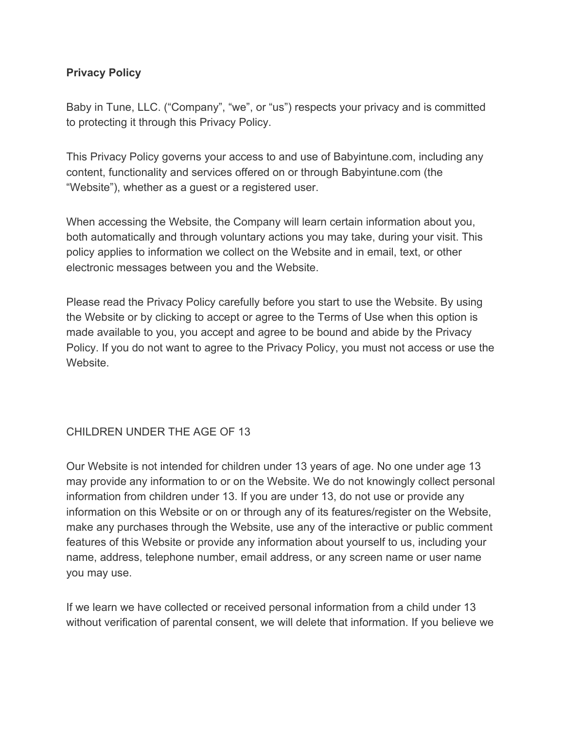### **Privacy Policy**

Baby in Tune, LLC. ("Company", "we", or "us") respects your privacy and is committed to protecting it through this Privacy Policy.

This Privacy Policy governs your access to and use of Babyintune.com, including any content, functionality and services offered on or through Babyintune.com (the "Website"), whether as a guest or a registered user.

When accessing the Website, the Company will learn certain information about you, both automatically and through voluntary actions you may take, during your visit. This policy applies to information we collect on the Website and in email, text, or other electronic messages between you and the Website.

Please read the Privacy Policy carefully before you start to use the Website. By using the Website or by clicking to accept or agree to the Terms of Use when this option is made available to you, you accept and agree to be bound and abide by the Privacy Policy. If you do not want to agree to the Privacy Policy, you must not access or use the Website.

## CHILDREN UNDER THE AGE OF 13

Our Website is not intended for children under 13 years of age. No one under age 13 may provide any information to or on the Website. We do not knowingly collect personal information from children under 13. If you are under 13, do not use or provide any information on this Website or on or through any of its features/register on the Website, make any purchases through the Website, use any of the interactive or public comment features of this Website or provide any information about yourself to us, including your name, address, telephone number, email address, or any screen name or user name you may use.

If we learn we have collected or received personal information from a child under 13 without verification of parental consent, we will delete that information. If you believe we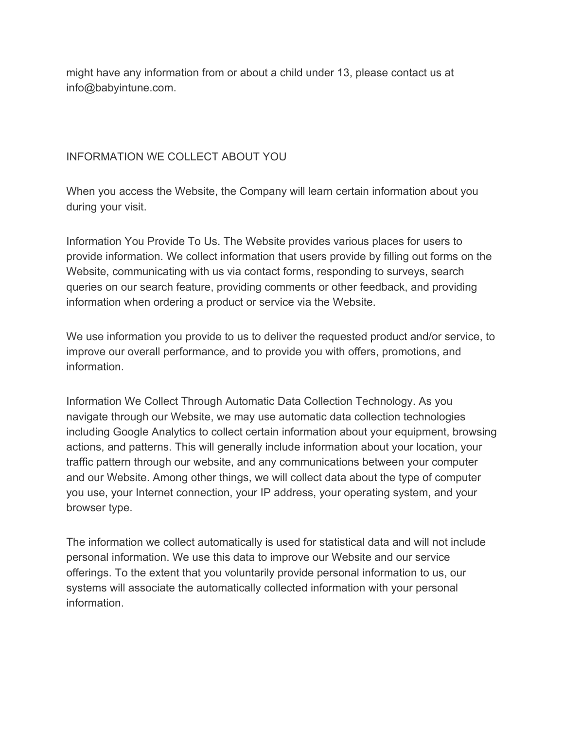might have any information from or about a child under 13, please contact us at info@babyintune.com.

## INFORMATION WE COLLECT ABOUT YOU

When you access the Website, the Company will learn certain information about you during your visit.

Information You Provide To Us. The Website provides various places for users to provide information. We collect information that users provide by filling out forms on the Website, communicating with us via contact forms, responding to surveys, search queries on our search feature, providing comments or other feedback, and providing information when ordering a product or service via the Website.

We use information you provide to us to deliver the requested product and/or service, to improve our overall performance, and to provide you with offers, promotions, and information.

Information We Collect Through Automatic Data Collection Technology. As you navigate through our Website, we may use automatic data collection technologies including Google Analytics to collect certain information about your equipment, browsing actions, and patterns. This will generally include information about your location, your traffic pattern through our website, and any communications between your computer and our Website. Among other things, we will collect data about the type of computer you use, your Internet connection, your IP address, your operating system, and your browser type.

The information we collect automatically is used for statistical data and will not include personal information. We use this data to improve our Website and our service offerings. To the extent that you voluntarily provide personal information to us, our systems will associate the automatically collected information with your personal information.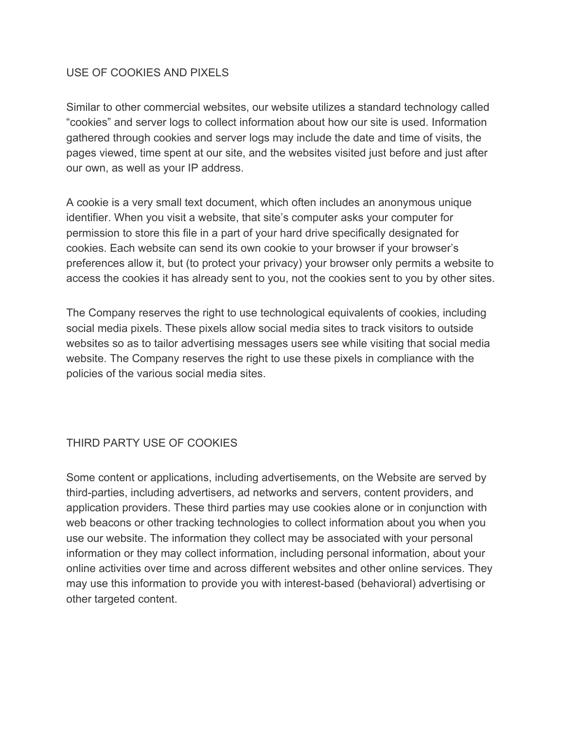#### USE OF COOKIES AND PIXELS

Similar to other commercial websites, our website utilizes a standard technology called "cookies" and server logs to collect information about how our site is used. Information gathered through cookies and server logs may include the date and time of visits, the pages viewed, time spent at our site, and the websites visited just before and just after our own, as well as your IP address.

A cookie is a very small text document, which often includes an anonymous unique identifier. When you visit a website, that site's computer asks your computer for permission to store this file in a part of your hard drive specifically designated for cookies. Each website can send its own cookie to your browser if your browser's preferences allow it, but (to protect your privacy) your browser only permits a website to access the cookies it has already sent to you, not the cookies sent to you by other sites.

The Company reserves the right to use technological equivalents of cookies, including social media pixels. These pixels allow social media sites to track visitors to outside websites so as to tailor advertising messages users see while visiting that social media website. The Company reserves the right to use these pixels in compliance with the policies of the various social media sites.

### THIRD PARTY USE OF COOKIES

Some content or applications, including advertisements, on the Website are served by third-parties, including advertisers, ad networks and servers, content providers, and application providers. These third parties may use cookies alone or in conjunction with web beacons or other tracking technologies to collect information about you when you use our website. The information they collect may be associated with your personal information or they may collect information, including personal information, about your online activities over time and across different websites and other online services. They may use this information to provide you with interest-based (behavioral) advertising or other targeted content.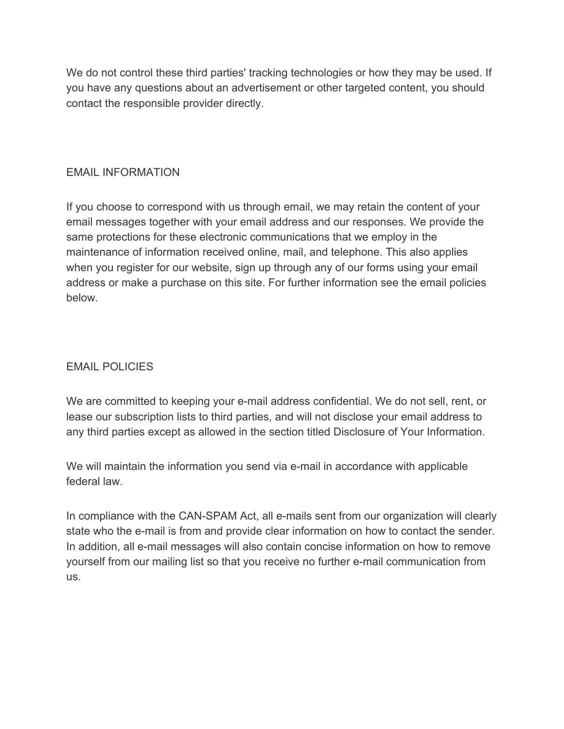We do not control these third parties' tracking technologies or how they may be used. If you have any questions about an advertisement or other targeted content, you should contact the responsible provider directly.

### EMAIL INFORMATION

If you choose to correspond with us through email, we may retain the content of your email messages together with your email address and our responses. We provide the same protections for these electronic communications that we employ in the maintenance of information received online, mail, and telephone. This also applies when you register for our website, sign up through any of our forms using your email address or make a purchase on this site. For further information see the email policies below.

### EMAIL POLICIES

We are committed to keeping your e-mail address confidential. We do not sell, rent, or lease our subscription lists to third parties, and will not disclose your email address to any third parties except as allowed in the section titled Disclosure of Your Information.

We will maintain the information you send via e-mail in accordance with applicable federal law.

In compliance with the CAN-SPAM Act, all e-mails sent from our organization will clearly state who the e-mail is from and provide clear information on how to contact the sender. In addition, all e-mail messages will also contain concise information on how to remove yourself from our mailing list so that you receive no further e-mail communication from us.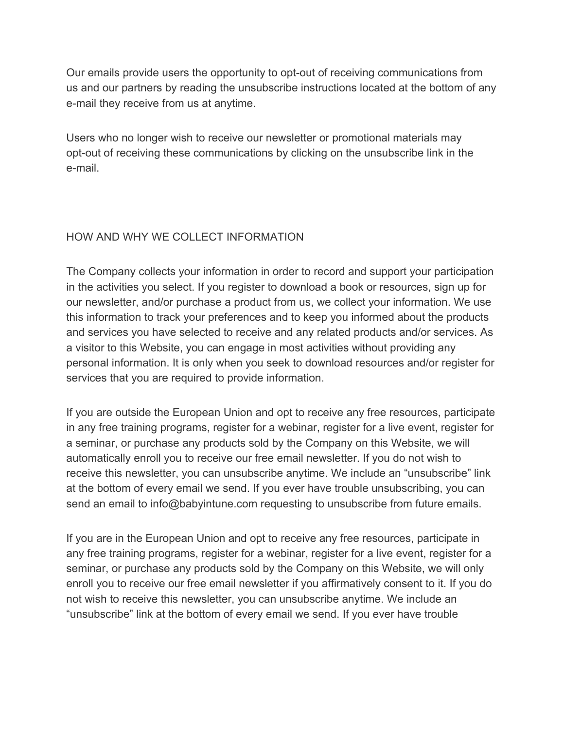Our emails provide users the opportunity to opt-out of receiving communications from us and our partners by reading the unsubscribe instructions located at the bottom of any e-mail they receive from us at anytime.

Users who no longer wish to receive our newsletter or promotional materials may opt-out of receiving these communications by clicking on the unsubscribe link in the e-mail.

## HOW AND WHY WE COLLECT INFORMATION

The Company collects your information in order to record and support your participation in the activities you select. If you register to download a book or resources, sign up for our newsletter, and/or purchase a product from us, we collect your information. We use this information to track your preferences and to keep you informed about the products and services you have selected to receive and any related products and/or services. As a visitor to this Website, you can engage in most activities without providing any personal information. It is only when you seek to download resources and/or register for services that you are required to provide information.

If you are outside the European Union and opt to receive any free resources, participate in any free training programs, register for a webinar, register for a live event, register for a seminar, or purchase any products sold by the Company on this Website, we will automatically enroll you to receive our free email newsletter. If you do not wish to receive this newsletter, you can unsubscribe anytime. We include an "unsubscribe" link at the bottom of every email we send. If you ever have trouble unsubscribing, you can send an email to info@babyintune.com requesting to unsubscribe from future emails.

If you are in the European Union and opt to receive any free resources, participate in any free training programs, register for a webinar, register for a live event, register for a seminar, or purchase any products sold by the Company on this Website, we will only enroll you to receive our free email newsletter if you affirmatively consent to it. If you do not wish to receive this newsletter, you can unsubscribe anytime. We include an "unsubscribe" link at the bottom of every email we send. If you ever have trouble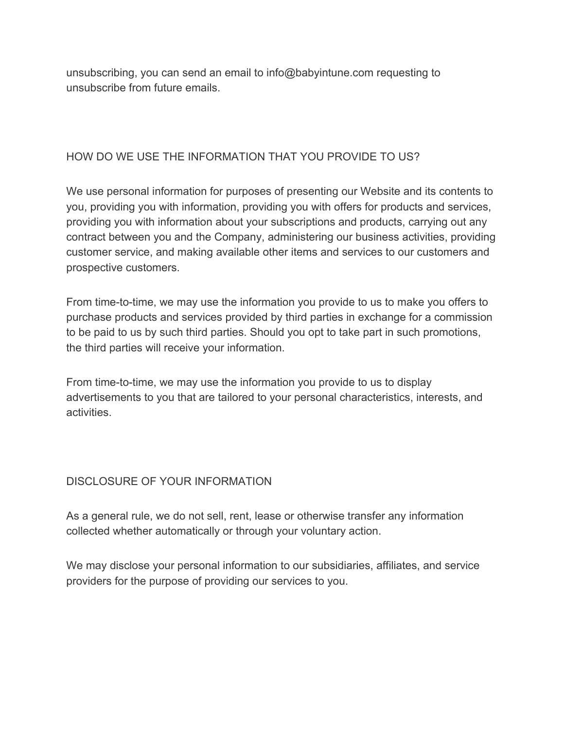unsubscribing, you can send an email to info@babyintune.com requesting to unsubscribe from future emails.

### HOW DO WE USE THE INFORMATION THAT YOU PROVIDE TO US?

We use personal information for purposes of presenting our Website and its contents to you, providing you with information, providing you with offers for products and services, providing you with information about your subscriptions and products, carrying out any contract between you and the Company, administering our business activities, providing customer service, and making available other items and services to our customers and prospective customers.

From time-to-time, we may use the information you provide to us to make you offers to purchase products and services provided by third parties in exchange for a commission to be paid to us by such third parties. Should you opt to take part in such promotions, the third parties will receive your information.

From time-to-time, we may use the information you provide to us to display advertisements to you that are tailored to your personal characteristics, interests, and activities.

### DISCLOSURE OF YOUR INFORMATION

As a general rule, we do not sell, rent, lease or otherwise transfer any information collected whether automatically or through your voluntary action.

We may disclose your personal information to our subsidiaries, affiliates, and service providers for the purpose of providing our services to you.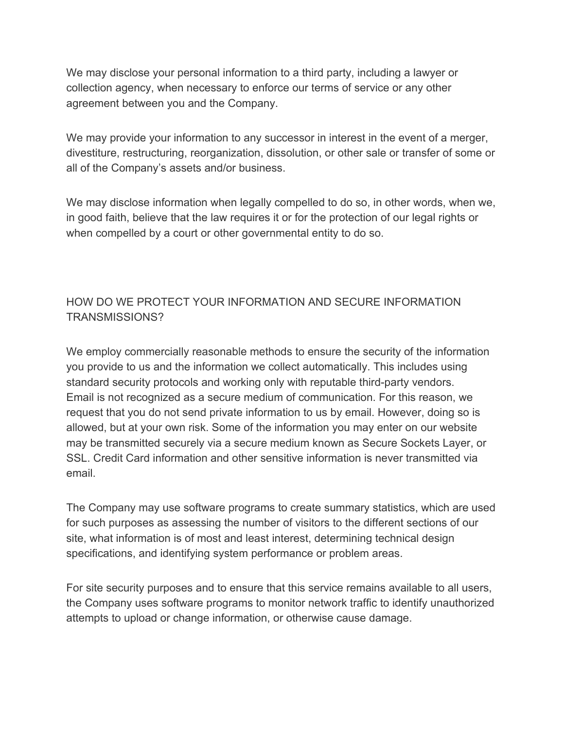We may disclose your personal information to a third party, including a lawyer or collection agency, when necessary to enforce our terms of service or any other agreement between you and the Company.

We may provide your information to any successor in interest in the event of a merger, divestiture, restructuring, reorganization, dissolution, or other sale or transfer of some or all of the Company's assets and/or business.

We may disclose information when legally compelled to do so, in other words, when we, in good faith, believe that the law requires it or for the protection of our legal rights or when compelled by a court or other governmental entity to do so.

# HOW DO WE PROTECT YOUR INFORMATION AND SECURE INFORMATION TRANSMISSIONS?

We employ commercially reasonable methods to ensure the security of the information you provide to us and the information we collect automatically. This includes using standard security protocols and working only with reputable third-party vendors. Email is not recognized as a secure medium of communication. For this reason, we request that you do not send private information to us by email. However, doing so is allowed, but at your own risk. Some of the information you may enter on our website may be transmitted securely via a secure medium known as Secure Sockets Layer, or SSL. Credit Card information and other sensitive information is never transmitted via email.

The Company may use software programs to create summary statistics, which are used for such purposes as assessing the number of visitors to the different sections of our site, what information is of most and least interest, determining technical design specifications, and identifying system performance or problem areas.

For site security purposes and to ensure that this service remains available to all users, the Company uses software programs to monitor network traffic to identify unauthorized attempts to upload or change information, or otherwise cause damage.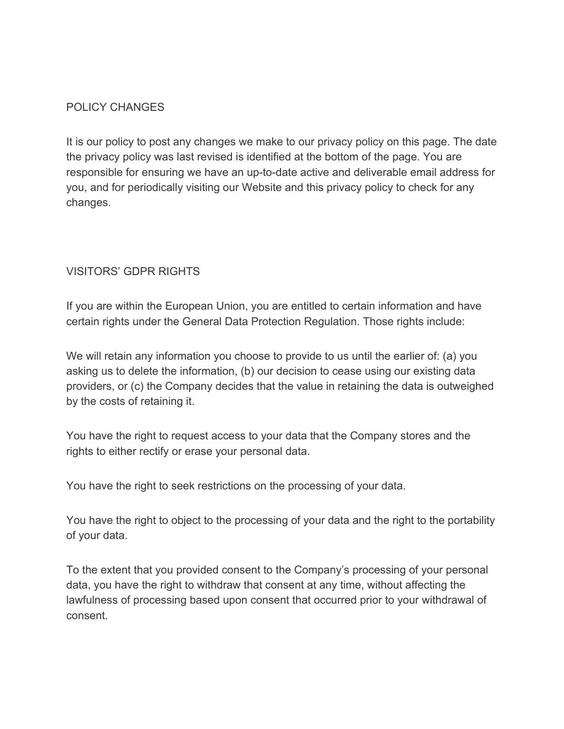### POLICY CHANGES

It is our policy to post any changes we make to our privacy policy on this page. The date the privacy policy was last revised is identified at the bottom of the page. You are responsible for ensuring we have an up-to-date active and deliverable email address for you, and for periodically visiting our Website and this privacy policy to check for any changes.

### VISITORS' GDPR RIGHTS

If you are within the European Union, you are entitled to certain information and have certain rights under the General Data Protection Regulation. Those rights include:

We will retain any information you choose to provide to us until the earlier of: (a) you asking us to delete the information, (b) our decision to cease using our existing data providers, or (c) the Company decides that the value in retaining the data is outweighed by the costs of retaining it.

You have the right to request access to your data that the Company stores and the rights to either rectify or erase your personal data.

You have the right to seek restrictions on the processing of your data.

You have the right to object to the processing of your data and the right to the portability of your data.

To the extent that you provided consent to the Company's processing of your personal data, you have the right to withdraw that consent at any time, without affecting the lawfulness of processing based upon consent that occurred prior to your withdrawal of consent.